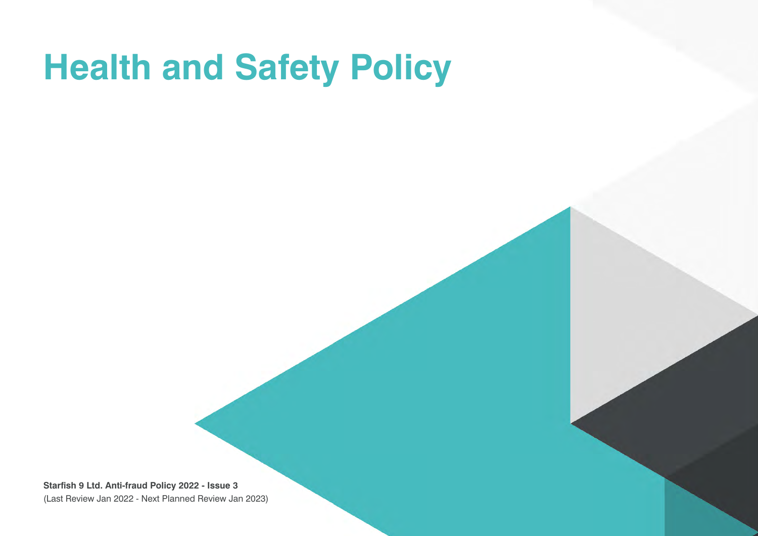# **Health and Safety Policy**

**Starfish 9 Ltd. Anti-fraud Policy 2022 - Issue 3** (Last Review Jan 2022 - Next Planned Review Jan 2023)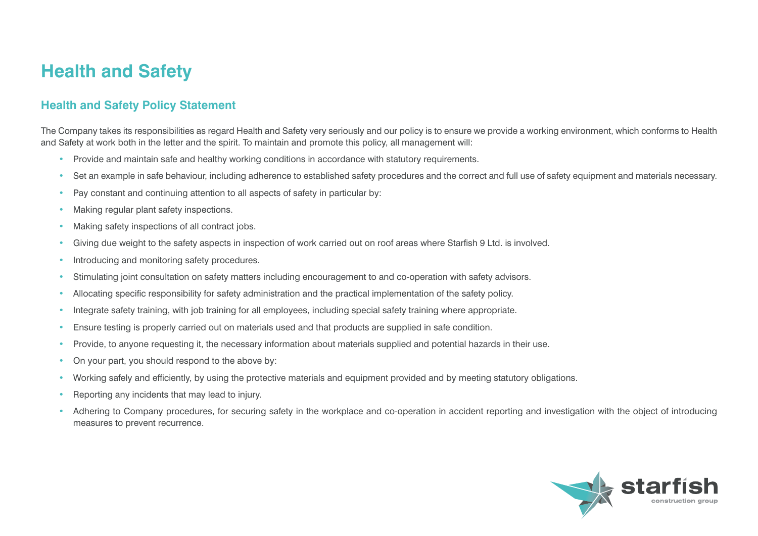# **Health and Safety**

#### **Health and Safety Policy Statement**

The Company takes its responsibilities as regard Health and Safety very seriously and our policy is to ensure we provide a working environment, which conforms to Health and Safety at work both in the letter and the spirit. To maintain and promote this policy, all management will:

- Provide and maintain safe and healthy working conditions in accordance with statutory requirements.
- Set an example in safe behaviour, including adherence to established safety procedures and the correct and full use of safety equipment and materials necessary.
- Pay constant and continuing attention to all aspects of safety in particular by:
- Making regular plant safety inspections.
- Making safety inspections of all contract jobs.
- Giving due weight to the safety aspects in inspection of work carried out on roof areas where Starfish 9 Ltd. is involved.
- Introducing and monitoring safety procedures.
- Stimulating joint consultation on safety matters including encouragement to and co-operation with safety advisors.
- Allocating specific responsibility for safety administration and the practical implementation of the safety policy.
- Integrate safety training, with job training for all employees, including special safety training where appropriate.
- Ensure testing is properly carried out on materials used and that products are supplied in safe condition.
- Provide, to anyone requesting it, the necessary information about materials supplied and potential hazards in their use.
- On your part, you should respond to the above by:
- Working safely and efficiently, by using the protective materials and equipment provided and by meeting statutory obligations.
- Reporting any incidents that may lead to injury.
- Adhering to Company procedures, for securing safety in the workplace and co-operation in accident reporting and investigation with the object of introducing measures to prevent recurrence.

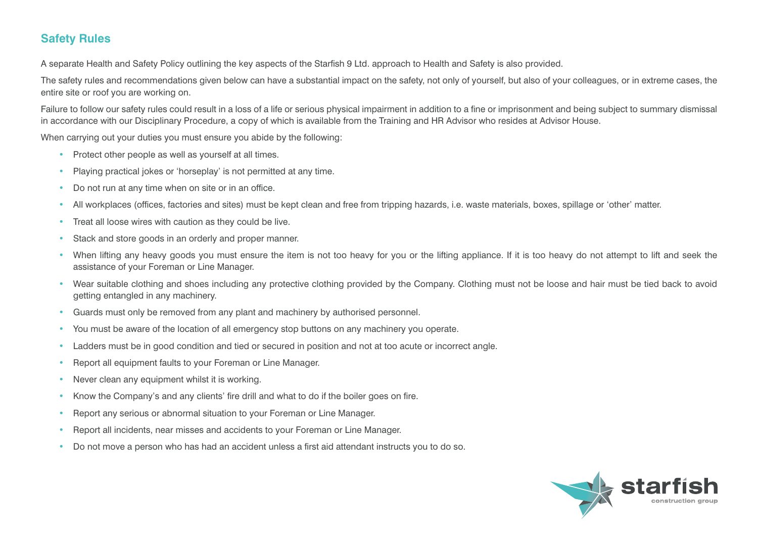#### **Safety Rules**

A separate Health and Safety Policy outlining the key aspects of the Starfish 9 Ltd. approach to Health and Safety is also provided.

The safety rules and recommendations given below can have a substantial impact on the safety, not only of yourself, but also of your colleagues, or in extreme cases, the entire site or roof you are working on.

Failure to follow our safety rules could result in a loss of a life or serious physical impairment in addition to a fine or imprisonment and being subject to summary dismissal in accordance with our Disciplinary Procedure, a copy of which is available from the Training and HR Advisor who resides at Advisor House.

When carrying out your duties you must ensure you abide by the following:

- Protect other people as well as yourself at all times.
- Playing practical jokes or 'horseplay' is not permitted at any time.
- Do not run at any time when on site or in an office.
- All workplaces (offices, factories and sites) must be kept clean and free from tripping hazards, i.e. waste materials, boxes, spillage or 'other' matter.
- Treat all loose wires with caution as they could be live.
- Stack and store goods in an orderly and proper manner.
- When lifting any heavy goods you must ensure the item is not too heavy for you or the lifting appliance. If it is too heavy do not attempt to lift and seek the assistance of your Foreman or Line Manager.
- Wear suitable clothing and shoes including any protective clothing provided by the Company. Clothing must not be loose and hair must be tied back to avoid getting entangled in any machinery.
- Guards must only be removed from any plant and machinery by authorised personnel.
- You must be aware of the location of all emergency stop buttons on any machinery you operate.
- Ladders must be in good condition and tied or secured in position and not at too acute or incorrect angle.
- Report all equipment faults to your Foreman or Line Manager.
- Never clean any equipment whilst it is working.
- Know the Company's and any clients' fire drill and what to do if the boiler goes on fire.
- Report any serious or abnormal situation to your Foreman or Line Manager.
- Report all incidents, near misses and accidents to your Foreman or Line Manager.
- Do not move a person who has had an accident unless a first aid attendant instructs you to do so.